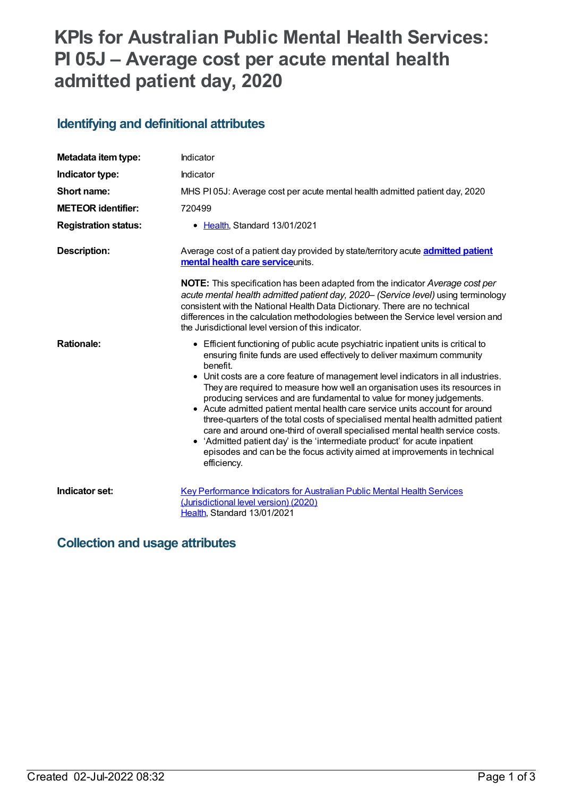# **KPIs for Australian Public Mental Health Services: PI 05J – Average cost per acute mental health admitted patient day, 2020**

### **Identifying and definitional attributes**

| Metadata item type:         | Indicator                                                                                                                                                                                                                                                                                                                                                                                                                                                                                                                                                                                                                                                                                                                                                                                                                                            |
|-----------------------------|------------------------------------------------------------------------------------------------------------------------------------------------------------------------------------------------------------------------------------------------------------------------------------------------------------------------------------------------------------------------------------------------------------------------------------------------------------------------------------------------------------------------------------------------------------------------------------------------------------------------------------------------------------------------------------------------------------------------------------------------------------------------------------------------------------------------------------------------------|
| Indicator type:             | Indicator                                                                                                                                                                                                                                                                                                                                                                                                                                                                                                                                                                                                                                                                                                                                                                                                                                            |
| Short name:                 | MHS PI05J: Average cost per acute mental health admitted patient day, 2020                                                                                                                                                                                                                                                                                                                                                                                                                                                                                                                                                                                                                                                                                                                                                                           |
| <b>METEOR identifier:</b>   | 720499                                                                                                                                                                                                                                                                                                                                                                                                                                                                                                                                                                                                                                                                                                                                                                                                                                               |
| <b>Registration status:</b> | • Health, Standard 13/01/2021                                                                                                                                                                                                                                                                                                                                                                                                                                                                                                                                                                                                                                                                                                                                                                                                                        |
| <b>Description:</b>         | Average cost of a patient day provided by state/territory acute <b>admitted patient</b><br>mental health care serviceunits.                                                                                                                                                                                                                                                                                                                                                                                                                                                                                                                                                                                                                                                                                                                          |
|                             | <b>NOTE:</b> This specification has been adapted from the indicator Average cost per<br>acute mental health admitted patient day, 2020- (Service level) using terminology<br>consistent with the National Health Data Dictionary. There are no technical<br>differences in the calculation methodologies between the Service level version and<br>the Jurisdictional level version of this indicator.                                                                                                                                                                                                                                                                                                                                                                                                                                                |
| <b>Rationale:</b>           | • Efficient functioning of public acute psychiatric inpatient units is critical to<br>ensuring finite funds are used effectively to deliver maximum community<br>benefit.<br>• Unit costs are a core feature of management level indicators in all industries.<br>They are required to measure how well an organisation uses its resources in<br>producing services and are fundamental to value for money judgements.<br>• Acute admitted patient mental health care service units account for around<br>three-quarters of the total costs of specialised mental health admitted patient<br>care and around one-third of overall specialised mental health service costs.<br>• 'Admitted patient day' is the 'intermediate product' for acute inpatient<br>episodes and can be the focus activity aimed at improvements in technical<br>efficiency. |
| Indicator set:              | Key Performance Indicators for Australian Public Mental Health Services<br>(Jurisdictional level version) (2020)<br>Health, Standard 13/01/2021                                                                                                                                                                                                                                                                                                                                                                                                                                                                                                                                                                                                                                                                                                      |

#### **Collection and usage attributes**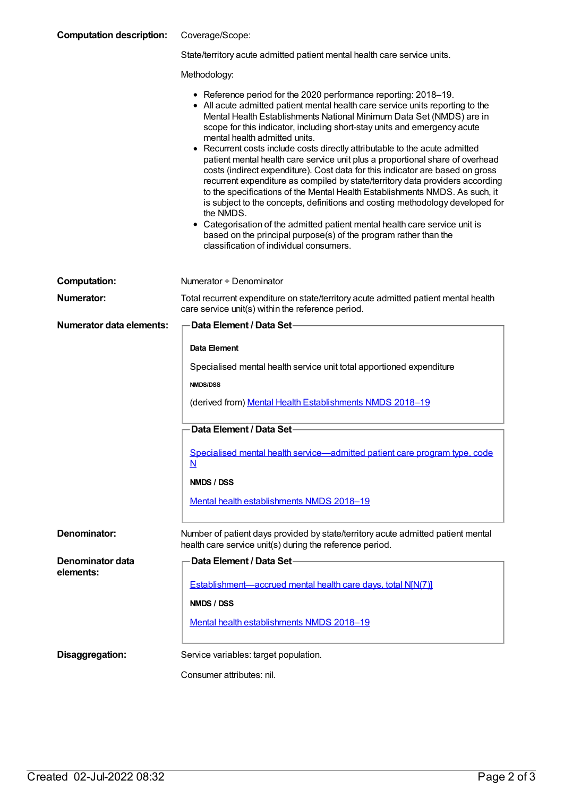| <b>Computation description:</b> | Coverage/Scope: |
|---------------------------------|-----------------|
|---------------------------------|-----------------|

| State/territory acute admitted patient mental health care service units. |  |  |  |
|--------------------------------------------------------------------------|--|--|--|
|--------------------------------------------------------------------------|--|--|--|

Methodology:

|  |  | • Reference period for the 2020 performance reporting: 2018-19. |
|--|--|-----------------------------------------------------------------|
|--|--|-----------------------------------------------------------------|

- All acute admitted patient mental health care service units reporting to the Mental Health Establishments National Minimum Data Set (NMDS) are in scope for this indicator, including short-stay units and emergency acute mental health admitted units.
- Recurrent costs include costs directly attributable to the acute admitted patient mental health care service unit plus a proportional share of overhead costs (indirect expenditure). Cost data for this indicator are based on gross recurrent expenditure as compiled by state/territory data providers according to the specifications of the Mental Health Establishments NMDS. As such, it is subject to the concepts, definitions and costing methodology developed for the NMDS.
- Categorisation of the admitted patient mental health care service unit is based on the principal purpose(s) of the program rather than the classification of individual consumers.

| <b>Computation:</b>      | Numerator + Denominator                                                                                                                      |
|--------------------------|----------------------------------------------------------------------------------------------------------------------------------------------|
| Numerator:               | Total recurrent expenditure on state/territory acute admitted patient mental health<br>care service unit(s) within the reference period.     |
| Numerator data elements: | Data Element / Data Set-                                                                                                                     |
|                          | Data Element                                                                                                                                 |
|                          | Specialised mental health service unit total apportioned expenditure                                                                         |
|                          | <b>NMDS/DSS</b>                                                                                                                              |
|                          | (derived from) Mental Health Establishments NMDS 2018-19                                                                                     |
|                          | Data Element / Data Set-                                                                                                                     |
|                          | Specialised mental health service-admitted patient care program type, code<br>N                                                              |
|                          | NMDS / DSS                                                                                                                                   |
|                          | Mental health establishments NMDS 2018-19                                                                                                    |
| <b>Denominator:</b>      | Number of patient days provided by state/territory acute admitted patient mental<br>health care service unit(s) during the reference period. |
| Denominator data         | Data Element / Data Set-                                                                                                                     |
| elements:                | Establishment—accrued mental health care days, total N[N(7)]                                                                                 |
|                          | NMDS / DSS                                                                                                                                   |
|                          | Mental health establishments NMDS 2018-19                                                                                                    |
| Disaggregation:          | Service variables: target population.                                                                                                        |
|                          | Consumer attributes: nil.                                                                                                                    |